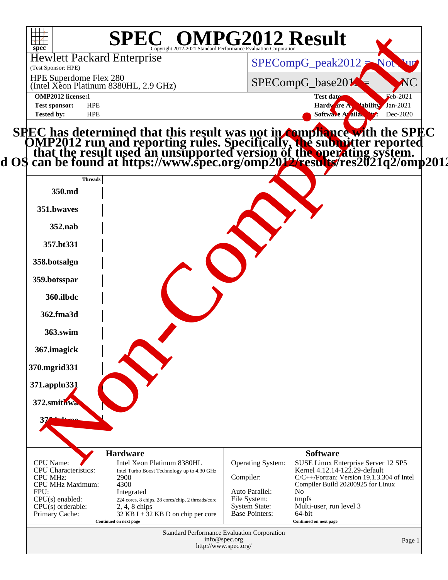| $\overline{\phantom{a}}$<br>spec <sup>®</sup>                                                                                       | <b>SPEC<sup>®</sup> OMPG2012 Result</b>                                                                                                                                                                                                      |                                                                                          |                                                                                                                                                                                                                      |                          |
|-------------------------------------------------------------------------------------------------------------------------------------|----------------------------------------------------------------------------------------------------------------------------------------------------------------------------------------------------------------------------------------------|------------------------------------------------------------------------------------------|----------------------------------------------------------------------------------------------------------------------------------------------------------------------------------------------------------------------|--------------------------|
| <b>Hewlett Packard Enterprise</b><br>(Test Sponsor: HPE)                                                                            |                                                                                                                                                                                                                                              |                                                                                          | $SPECompG_peak2012 = Not$                                                                                                                                                                                            |                          |
| HPE Superdome Flex 280                                                                                                              | (Intel Xeon Platinum 8380HL, 2.9 GHz)                                                                                                                                                                                                        |                                                                                          | SPECompG_base201                                                                                                                                                                                                     | NC                       |
| <b>OMP2012</b> license:1<br><b>Test sponsor:</b><br><b>HPE</b>                                                                      |                                                                                                                                                                                                                                              |                                                                                          | Test date:<br>Hardware A<br><b>Mability</b>                                                                                                                                                                          | $Eeb-2021$<br>$Jan-2021$ |
| <b>HPE</b><br><b>Tested by:</b>                                                                                                     |                                                                                                                                                                                                                                              |                                                                                          | Softwa A aila                                                                                                                                                                                                        | Dec-2020                 |
|                                                                                                                                     | SPEC has determined that this result was not in <b>compliance with the SPEC</b><br>OMP2012 run and reporting rules. Specifically, the submitter reported<br>that the result used an unsupported version of the operating system.<br>d OS can |                                                                                          |                                                                                                                                                                                                                      |                          |
| <b>Threads</b><br>350.md                                                                                                            |                                                                                                                                                                                                                                              |                                                                                          |                                                                                                                                                                                                                      |                          |
| 351.bwaves                                                                                                                          |                                                                                                                                                                                                                                              |                                                                                          |                                                                                                                                                                                                                      |                          |
| 352.nab                                                                                                                             |                                                                                                                                                                                                                                              |                                                                                          |                                                                                                                                                                                                                      |                          |
| 357.bt331                                                                                                                           |                                                                                                                                                                                                                                              |                                                                                          |                                                                                                                                                                                                                      |                          |
| 358.botsalgn                                                                                                                        |                                                                                                                                                                                                                                              |                                                                                          |                                                                                                                                                                                                                      |                          |
| 359.botsspar                                                                                                                        |                                                                                                                                                                                                                                              |                                                                                          |                                                                                                                                                                                                                      |                          |
| 360.ilbdc                                                                                                                           |                                                                                                                                                                                                                                              |                                                                                          |                                                                                                                                                                                                                      |                          |
| 362.fma3d                                                                                                                           |                                                                                                                                                                                                                                              |                                                                                          |                                                                                                                                                                                                                      |                          |
| 363.swim                                                                                                                            |                                                                                                                                                                                                                                              |                                                                                          |                                                                                                                                                                                                                      |                          |
| 367.imagick                                                                                                                         |                                                                                                                                                                                                                                              |                                                                                          |                                                                                                                                                                                                                      |                          |
| 370.mgrid331                                                                                                                        |                                                                                                                                                                                                                                              |                                                                                          |                                                                                                                                                                                                                      |                          |
| 371.applu331                                                                                                                        |                                                                                                                                                                                                                                              |                                                                                          |                                                                                                                                                                                                                      |                          |
| 372.smithwa                                                                                                                         |                                                                                                                                                                                                                                              |                                                                                          |                                                                                                                                                                                                                      |                          |
| 376 kdtroo                                                                                                                          |                                                                                                                                                                                                                                              |                                                                                          |                                                                                                                                                                                                                      |                          |
| CPU Name:<br><b>CPU</b> Characteristics:<br><b>CPU MHz:</b><br>CPU MHz Maximum:<br>FPU:<br>$CPU(s)$ enabled:<br>$CPU(s)$ orderable: | <b>Hardware</b><br>Intel Xeon Platinum 8380HL<br>Intel Turbo Boost Technology up to 4.30 GHz<br>2900<br>4300<br>Integrated<br>224 cores, 8 chips, 28 cores/chip, 2 threads/core<br>$2, 4, 8$ chips                                           | Operating System:<br>Compiler:<br>Auto Parallel:<br>File System:<br><b>System State:</b> | <b>Software</b><br>SUSE Linux Enterprise Server 12 SP5<br>Kernel 4.12.14-122.29-default<br>C/C++/Fortran: Version 19.1.3.304 of Intel<br>Compiler Build 20200925 for Linux<br>No<br>tmpfs<br>Multi-user, run level 3 |                          |
| Primary Cache:                                                                                                                      | $32$ KB I + $32$ KB D on chip per core<br>Continued on next page                                                                                                                                                                             | <b>Base Pointers:</b>                                                                    | 64-bit<br>Continued on next page                                                                                                                                                                                     |                          |
|                                                                                                                                     |                                                                                                                                                                                                                                              | Standard Performance Evaluation Corporation<br>info@spec.org<br>http://www.spec.org/     |                                                                                                                                                                                                                      | Page 1                   |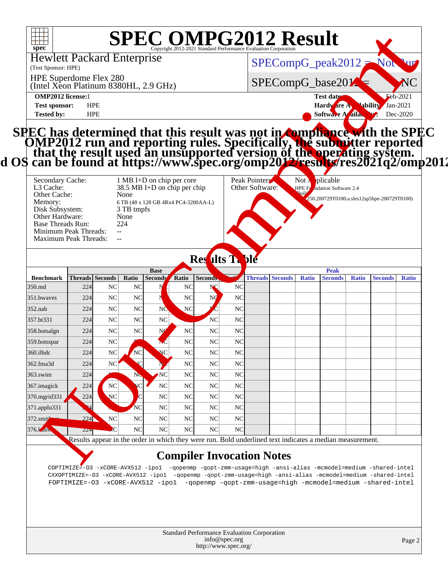| $spec^*$                                                                                                                                                                                                                                                                                                                                                                               |            | <b>SPEC OMPG2012 Result</b>       |                                                                                                   |                      | Convright 2012-2021 Standard Performance Evaluation Corporation |                             |                                   |                           |                             |                             |                                              |            |
|----------------------------------------------------------------------------------------------------------------------------------------------------------------------------------------------------------------------------------------------------------------------------------------------------------------------------------------------------------------------------------------|------------|-----------------------------------|---------------------------------------------------------------------------------------------------|----------------------|-----------------------------------------------------------------|-----------------------------|-----------------------------------|---------------------------|-----------------------------|-----------------------------|----------------------------------------------|------------|
| <b>Hewlett Packard Enterprise</b><br>(Test Sponsor: HPE)                                                                                                                                                                                                                                                                                                                               |            |                                   |                                                                                                   |                      |                                                                 |                             |                                   | $SPECompG_peak2012 = Not$ |                             |                             |                                              |            |
| HPE Superdome Flex 280<br>(Intel Xeon Platinum 8380HL, 2.9 GHz)                                                                                                                                                                                                                                                                                                                        |            |                                   |                                                                                                   |                      |                                                                 |                             |                                   | SPECompG_base201          |                             |                             |                                              |            |
| <b>OMP2012 license:1</b>                                                                                                                                                                                                                                                                                                                                                               | <b>HPE</b> |                                   |                                                                                                   |                      |                                                                 |                             |                                   |                           |                             | Test date:                  | Hardware A Vability Jan-2021                 | $Eeb-2021$ |
| <b>Test sponsor:</b><br><b>Tested by:</b>                                                                                                                                                                                                                                                                                                                                              | <b>HPE</b> |                                   |                                                                                                   |                      |                                                                 |                             |                                   |                           |                             | Softwa A aila.              |                                              | Dec-2020   |
| SPEC has determined that this result was not in <b>compliance with the SPEC</b><br>OMP2012 run and reporting rules. Specifically, the submitter reported<br>that the result used an unsupported version of the operating system.<br>d OS can<br>Secondary Cache:<br>L <sub>3</sub> Cache:<br>Other Cache:<br>Memory:<br>Disk Subsystem:<br>Other Hardware:<br><b>Base Threads Run:</b> |            | None<br>3 TB tmpfs<br>None<br>224 | 1 MB I+D on chip per core<br>38.5 MB I+D on chip per chip<br>6 TB (48 x 128 GB 4Rx4 PC4-3200AA-L) |                      |                                                                 |                             | Peak Pointers:<br>Other Software: |                           | Not $\overline{A}$ plicable | HPE Fo ndation Software 2.4 | 1250.200729T0100.a.sles12sp5hpe-200729T0100) |            |
| Minimum Peak Threads:<br>Maximum Peak Threads:                                                                                                                                                                                                                                                                                                                                         |            | $\sim$                            |                                                                                                   |                      | <b>Res</b> ults T.                                              | ble                         |                                   |                           |                             |                             |                                              |            |
| Benchmark Threads Seconds Ratio Seconds Ratio Seconds.                                                                                                                                                                                                                                                                                                                                 |            |                                   | <b>Base</b>                                                                                       |                      |                                                                 | متعبد                       |                                   | Threads Seconds Ratio     |                             | Peak                        | Seconds Ratio Seconds Ratio                  |            |
| 350.md                                                                                                                                                                                                                                                                                                                                                                                 | 224        | NC<br>NC                          |                                                                                                   | NC                   | NC                                                              | N <sub>C</sub>              |                                   |                           |                             |                             |                                              |            |
| 351.bwaves                                                                                                                                                                                                                                                                                                                                                                             | 224        | N <sub>C</sub><br>NC              |                                                                                                   | N <sub>C</sub>       |                                                                 | NC                          |                                   |                           |                             |                             |                                              |            |
| $352$ .nab                                                                                                                                                                                                                                                                                                                                                                             | 224        | N <sub>C</sub><br>NC              | <b>NC</b>                                                                                         | NC                   |                                                                 | N <sub>C</sub>              |                                   |                           |                             |                             |                                              |            |
| 357.bt331                                                                                                                                                                                                                                                                                                                                                                              | 224        | N <sub>C</sub><br>NC              | NC                                                                                                |                      | NC                                                              | <b>NC</b>                   |                                   |                           |                             |                             |                                              |            |
| 358.botsalgn                                                                                                                                                                                                                                                                                                                                                                           | 224        | <b>NC</b><br>NC                   | NÇ                                                                                                | NC                   | N <sub>C</sub>                                                  | N <sub>C</sub>              |                                   |                           |                             |                             |                                              |            |
| 359.botsspar<br>360.ilbdc                                                                                                                                                                                                                                                                                                                                                              | 224        | NC                                | NC                                                                                                | NC<br>N <sub>C</sub> | NC<br>NC                                                        | N <sub>C</sub><br><b>NC</b> |                                   |                           |                             |                             |                                              |            |
| 362.fma3d                                                                                                                                                                                                                                                                                                                                                                              | 224<br>224 | NC<br><b>NC</b><br>NC             |                                                                                                   | NC                   | <b>NC</b>                                                       | N <sub>C</sub>              |                                   |                           |                             |                             |                                              |            |
| 363.swim                                                                                                                                                                                                                                                                                                                                                                               | 224        |                                   | NC                                                                                                | N <sub>C</sub>       | <b>NC</b>                                                       | <b>NC</b>                   |                                   |                           |                             |                             |                                              |            |
|                                                                                                                                                                                                                                                                                                                                                                                        | 224        | NC                                | NC                                                                                                | N <sub>C</sub>       | <b>NC</b>                                                       | NC                          |                                   |                           |                             |                             |                                              |            |
| 367.imagick                                                                                                                                                                                                                                                                                                                                                                            |            | NC                                | NC                                                                                                | <b>NC</b>            | <b>NC</b>                                                       | <b>NC</b>                   |                                   |                           |                             |                             |                                              |            |
| 370.mgrid331                                                                                                                                                                                                                                                                                                                                                                           | 224        |                                   |                                                                                                   |                      |                                                                 |                             |                                   |                           |                             |                             |                                              |            |
| 371.applu331                                                                                                                                                                                                                                                                                                                                                                           |            |                                   | <b>NC</b>                                                                                         | NC                   | <b>NC</b>                                                       | N <sub>C</sub>              |                                   |                           |                             |                             |                                              |            |
| 372.smithwa<br>376. Laure                                                                                                                                                                                                                                                                                                                                                              | 224        | NC<br>NC                          | <b>NC</b><br>NC                                                                                   | N <sub>C</sub>       | <b>NC</b>                                                       | <b>NC</b>                   |                                   |                           |                             |                             |                                              |            |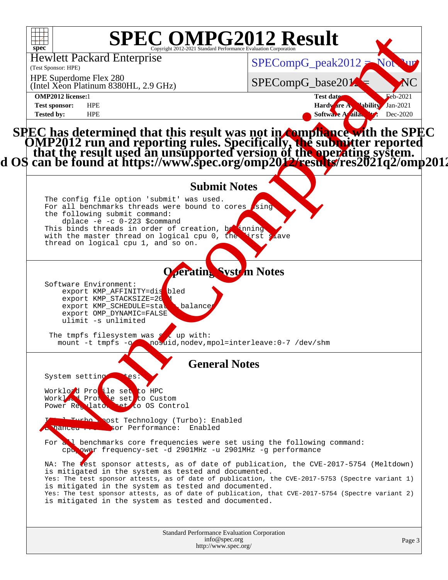| $\frac{1}{2}$<br>$spec^*$                                                                                                                                                                                                                                                                                                 | <b>SPEC OMPG2012 Result</b>                                                                                                                                                                                                                                                                  |                                      |
|---------------------------------------------------------------------------------------------------------------------------------------------------------------------------------------------------------------------------------------------------------------------------------------------------------------------------|----------------------------------------------------------------------------------------------------------------------------------------------------------------------------------------------------------------------------------------------------------------------------------------------|--------------------------------------|
| <b>Hewlett Packard Enterprise</b><br>(Test Sponsor: HPE)                                                                                                                                                                                                                                                                  | $SPECompG_peak2012 = No$                                                                                                                                                                                                                                                                     |                                      |
| HPE Superdome Flex 280<br>(Intel Xeon Platinum 8380HL, 2.9 GHz)                                                                                                                                                                                                                                                           | SPECompG_base201                                                                                                                                                                                                                                                                             | NC                                   |
| <b>OMP2012</b> license:1<br><b>HPE</b><br><b>Test sponsor:</b><br><b>HPE</b><br><b>Tested by:</b>                                                                                                                                                                                                                         | Test date:<br>Hardware A Vability<br>Softwa Araila.                                                                                                                                                                                                                                          | $Eeb-2021$<br>$Jan-2021$<br>Dec-2020 |
| SPEC has determined that this result was not in <b>compliance with the SPEC</b><br>OMP2012 run and reporting rules. Specifically, the submitter reported<br>that the result used an unsupported version of the operating system.<br>d OS can                                                                              |                                                                                                                                                                                                                                                                                              |                                      |
| The config file option 'submit' was used.<br>For all benchmarks threads were bound to cores using<br>the following submit command:<br>dplace $-e$ $-c$ 0-223 \$command<br>This binds threads in order of creation, be uning<br>with the master thread on logical cpu 0, the trst s<br>thread on logical cpu 1, and so on. | <b>Submit Notes</b><br>Lave                                                                                                                                                                                                                                                                  |                                      |
| Software Environment:<br>export KMP_AFFINITY=dis<br>bled<br>export KMP_STACKSIZE=20<br>export KMP_SCHEDULE=sta<br>balance<br>export OMP_DYNAMIC=FALSE<br>ulimit -s unlimited                                                                                                                                              | <b>Operating System Notes</b>                                                                                                                                                                                                                                                                |                                      |
| The tmpfs filesystem was s<br>L up with:<br>mount -t tmpfs -o nosuid, nodev, mpol=interleave: 0-7 /dev/shm                                                                                                                                                                                                                |                                                                                                                                                                                                                                                                                              |                                      |
| System setting<br>es:<br>Worklo d Protie set to HPC<br>Worklow Profile set to Custom<br>Power Regilato that to OS Control<br>Intol Turbo bost Technology (Turbo): Enabled                                                                                                                                                 | <b>General Notes</b>                                                                                                                                                                                                                                                                         |                                      |
| sor Performance: Enabled<br>cpu ower frequency-set -d 2901MHz -u 2901MHz -g performance                                                                                                                                                                                                                                   | For all benchmarks core frequencies were set using the following command:                                                                                                                                                                                                                    |                                      |
| is mitigated in the system as tested and documented.<br>is mitigated in the system as tested and documented.<br>is mitigated in the system as tested and documented.                                                                                                                                                      | NA: The lest sponsor attests, as of date of publication, the CVE-2017-5754 (Meltdown)<br>Yes: The test sponsor attests, as of date of publication, the CVE-2017-5753 (Spectre variant 1)<br>Yes: The test sponsor attests, as of date of publication, that CVE-2017-5754 (Spectre variant 2) |                                      |
|                                                                                                                                                                                                                                                                                                                           | Standard Performance Evaluation Corporation<br>info@spec.org<br>http://www.spec.org/                                                                                                                                                                                                         | Page 3                               |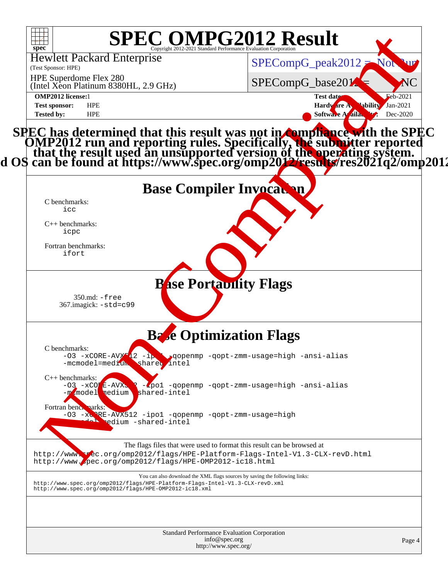| spec <sup>®</sup><br><b>Hewlett Packard Enterprise</b><br>(Test Sponsor: HPE)                                                          | <b>SPEC OMPG2012 Result</b><br>$SPECompG_peak2012 = Not$<br>W                                                                                                                                                                                |
|----------------------------------------------------------------------------------------------------------------------------------------|----------------------------------------------------------------------------------------------------------------------------------------------------------------------------------------------------------------------------------------------|
| HPE Superdome Flex 280<br>(Intel Xeon Platinum 8380HL, 2.9 GHz)                                                                        | SPECompG_base201<br>NC                                                                                                                                                                                                                       |
| <b>OMP2012</b> license:1<br><b>Test sponsor:</b><br><b>HPE</b><br><b>Tested by:</b><br><b>HPE</b>                                      | Feb-2021<br>Test date:<br>Hardware A Hability Jan-2021<br>Softwa A aila<br>Dec-2020                                                                                                                                                          |
|                                                                                                                                        | SPEC has determined that this result was not in <b>compliance with the SPEC</b><br>OMP2012 run and reporting rules. Specifically, the submitter reported<br>that the result used an unsupported version of the operating system.<br>d OS can |
| C benchmarks:                                                                                                                          | <b>Base Compiler Invocation</b>                                                                                                                                                                                                              |
| icc<br>$C++$ benchmarks:<br>icpc                                                                                                       |                                                                                                                                                                                                                                              |
| Fortran benchmarks:<br>ifort                                                                                                           |                                                                                                                                                                                                                                              |
| $350$ .md: $-$ free<br>367.imagick: -std=c99                                                                                           | <b>Pase Portability Flags</b>                                                                                                                                                                                                                |
| C benchmarks:                                                                                                                          | <b>Base Optimization Flags</b>                                                                                                                                                                                                               |
| -mcmodel=medium share intel                                                                                                            | $-03$ -xCORE-AVX $2 - i$ , gopenmp -gopt-zmm-usage=high -ansi-alias                                                                                                                                                                          |
| $C++$ benchmarks:<br>$-03 - xCO$ $E - AVX$<br>shared-intel<br>model nedium<br>$-m$                                                     | -zpol -qopenmp -qopt-zmm-usage=high -ansi-alias                                                                                                                                                                                              |
| Fortran bench marks:<br>-03 -xCPRE-AVX512 -ipo1 -qopenmp -qopt-zmm-usage=high<br>edium -shared-intel                                   |                                                                                                                                                                                                                                              |
| http://www.spec.org/omp2012/flags/HPE-OMP2012-ic18.html                                                                                | The flags files that were used to format this result can be browsed at<br>http://www.wec.org/omp2012/flags/HPE-Platform-Flags-Intel-V1.3-CLX-revD.html                                                                                       |
| http://www.spec.org/omp2012/flags/HPE-Platform-Flags-Intel-V1.3-CLX-revD.xml<br>http://www.spec.org/omp2012/flags/HPE-OMP2012-ic18.xml | You can also download the XML flags sources by saving the following links:                                                                                                                                                                   |
|                                                                                                                                        | Standard Performance Evaluation Corporation<br>info@spec.org<br>Page 4<br>http://www.spec.org/                                                                                                                                               |